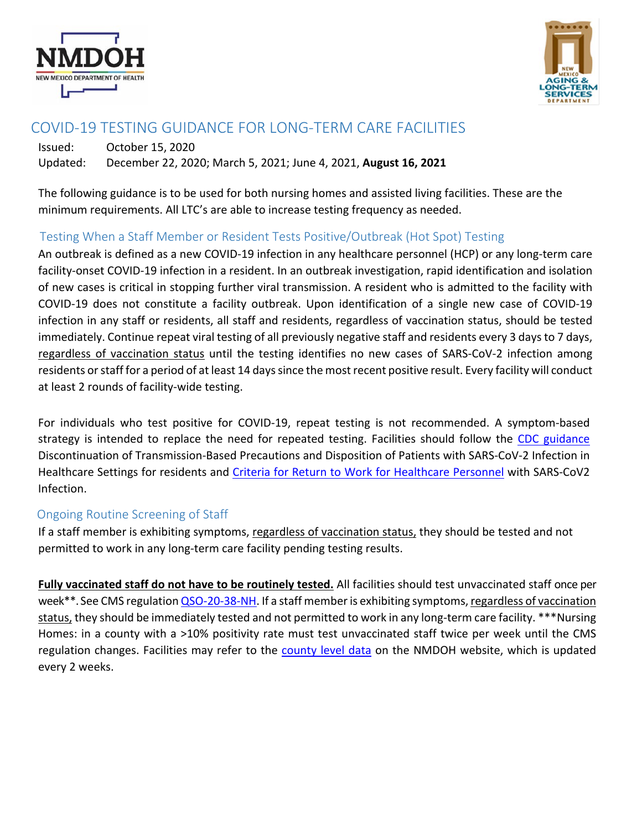



# COVID-19 TESTING GUIDANCE FOR LONG-TERM CARE FACILITIES

Issued: October 15, 2020 Updated: December 22, 2020; March 5, 2021; June 4, 2021, **August 16, 2021**

The following guidance is to be used for both nursing homes and assisted living facilities. These are the minimum requirements. All LTC's are able to increase testing frequency as needed.

## Testing When a Staff Member or Resident Tests Positive/Outbreak (Hot Spot) Testing

An outbreak is defined as a new COVID-19 infection in any healthcare personnel (HCP) or any long-term care facility-onset COVID-19 infection in a resident. In an outbreak investigation, rapid identification and isolation of new cases is critical in stopping further viral transmission. A resident who is admitted to the facility with COVID-19 does not constitute a facility outbreak. Upon identification of a single new case of COVID-19 infection in any staff or residents, all staff and residents, regardless of vaccination status, should be tested immediately. Continue repeat viral testing of all previously negative staff and residents every 3 days to 7 days, regardless of vaccination status until the testing identifies no new cases of SARS-CoV-2 infection among residents or staff for a period of at least 14 days since the most recent positive result. Every facility will conduct at least 2 rounds of facility-wide testing.

For individuals who test positive for COVID-19, repeat testing is not recommended. A symptom-based strategy is intended to replace the need for repeated testing. Facilities should follow the CDC guidance Discontinuation of Transmission-Based Precautions and Disposition of Patients with SARS-CoV-2 Infection in Healthcare Settings for residents and Criteria for Return to Work for Healthcare Personnel with SARS-CoV2 Infection.

## Ongoing Routine Screening of Staff

If a staff member is exhibiting symptoms, regardless of vaccination status, they should be tested and not permitted to work in any long-term care facility pending testing results.

**Fully vaccinated staff do not have to be routinely tested.** All facilities should test unvaccinated staff once per week\*\*. See CMS regulation QSO-20-38-NH. If a staff member is exhibiting symptoms, regardless of vaccination status, they should be immediately tested and not permitted to work in any long-term care facility. \*\*\*Nursing Homes: in a county with a >10% positivity rate must test unvaccinated staff twice per week until the CMS regulation changes. Facilities may refer to the county level data on the NMDOH website, which is updated every 2 weeks.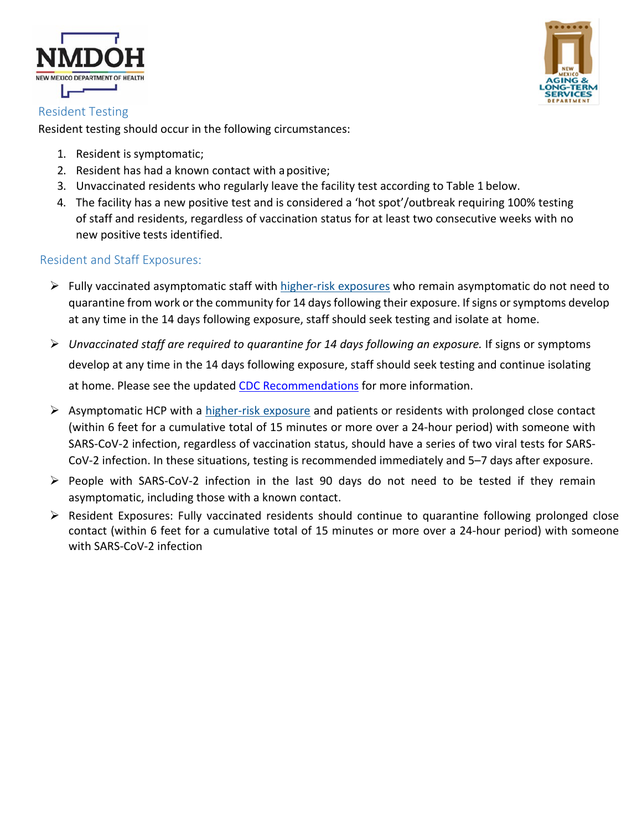



Resident testing should occur in the following circumstances:

- 1. Resident is symptomatic;
- 2. Resident has had a known contact with apositive;
- 3. Unvaccinated residents who regularly leave the facility test according to Table 1 below.
- 4. The facility has a new positive test and is considered a 'hot spot'/outbreak requiring 100% testing of staff and residents, regardless of vaccination status for at least two consecutive weeks with no new positive tests identified.

## Resident and Staff Exposures:

- $\triangleright$  Fully vaccinated asymptomatic staff with higher-risk exposures who remain asymptomatic do not need to quarantine from work or the community for 14 days following their exposure. If signs or symptoms develop at any time in the 14 days following exposure, staff should seek testing and isolate at home.
- Ø *Unvaccinated staff are required to quarantine for 14 days following an exposure.* If signs or symptoms develop at any time in the 14 days following exposure, staff should seek testing and continue isolating at home. Please see the updated CDC Recommendations for more information.
- $\triangleright$  Asymptomatic HCP with a higher-risk exposure and patients or residents with prolonged close contact (within 6 feet for a cumulative total of 15 minutes or more over a 24-hour period) with someone with SARS-CoV-2 infection, regardless of vaccination status, should have a series of two viral tests for SARS-CoV-2 infection. In these situations, testing is recommended immediately and 5–7 days after exposure.
- $\triangleright$  People with SARS-CoV-2 infection in the last 90 days do not need to be tested if they remain asymptomatic, including those with a known contact.
- $\triangleright$  Resident Exposures: Fully vaccinated residents should continue to quarantine following prolonged close contact (within 6 feet for a cumulative total of 15 minutes or more over a 24-hour period) with someone with SARS-CoV-2 infection

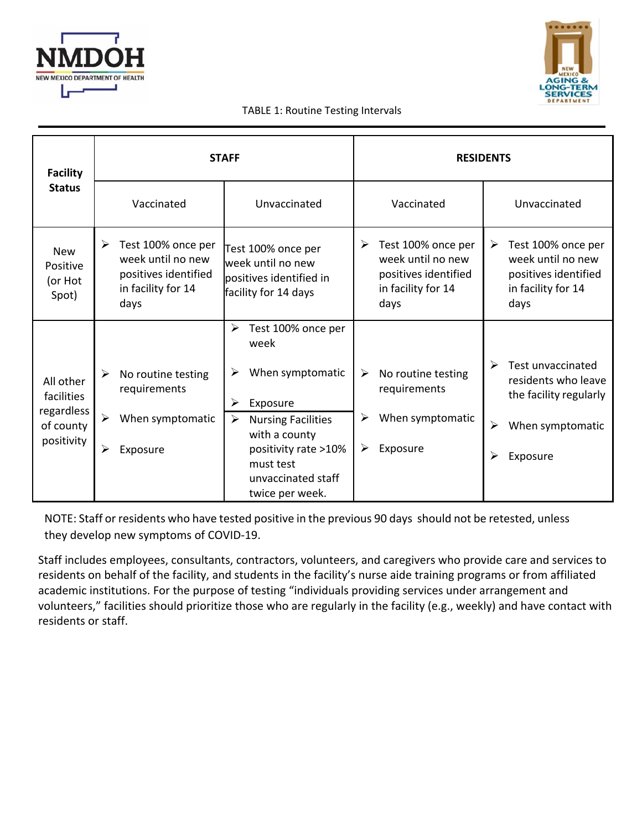



#### TABLE 1: Routine Testing Intervals

| <b>Facility</b><br><b>Status</b>                                 | <b>STAFF</b>                                                                                       |                                                                                            | <b>RESIDENTS</b>                                                                                                                                                                                         |  |
|------------------------------------------------------------------|----------------------------------------------------------------------------------------------------|--------------------------------------------------------------------------------------------|----------------------------------------------------------------------------------------------------------------------------------------------------------------------------------------------------------|--|
|                                                                  | Vaccinated                                                                                         | Unvaccinated                                                                               | Vaccinated<br>Unvaccinated                                                                                                                                                                               |  |
| <b>New</b><br>Positive<br>(or Hot<br>Spot)                       | ➤<br>Test 100% once per<br>week until no new<br>positives identified<br>in facility for 14<br>days | Test 100% once per<br>week until no new<br>positives identified in<br>facility for 14 days | Test 100% once per<br>≻<br>Test 100% once per<br>➤<br>week until no new<br>week until no new<br>positives identified<br>positives identified<br>in facility for 14<br>in facility for 14<br>days<br>days |  |
|                                                                  |                                                                                                    | ≻<br>Test 100% once per<br>week                                                            |                                                                                                                                                                                                          |  |
| All other<br>facilities<br>regardless<br>of county<br>positivity | ≻<br>No routine testing<br>requirements                                                            | When symptomatic<br>≻<br>➤<br>Exposure                                                     | $\blacktriangleright$<br>Test unvaccinated<br>➤<br>No routine testing<br>residents who leave<br>requirements<br>the facility regularly                                                                   |  |
|                                                                  | $\blacktriangleright$<br>When symptomatic                                                          | $\blacktriangleright$<br><b>Nursing Facilities</b><br>with a county                        | When symptomatic<br>➤<br>$\blacktriangleright$<br>When symptomatic                                                                                                                                       |  |
|                                                                  | $\blacktriangleright$<br>Exposure                                                                  | positivity rate >10%<br>must test<br>unvaccinated staff<br>twice per week.                 | Exposure<br>➤<br>➢<br>Exposure                                                                                                                                                                           |  |

NOTE: Staff or residents who have tested positive in the previous 90 days should not be retested, unless they develop new symptoms of COVID-19.

Staff includes employees, consultants, contractors, volunteers, and caregivers who provide care and services to residents on behalf of the facility, and students in the facility's nurse aide training programs or from affiliated academic institutions. For the purpose of testing "individuals providing services under arrangement and volunteers," facilities should prioritize those who are regularly in the facility (e.g., weekly) and have contact with residents or staff.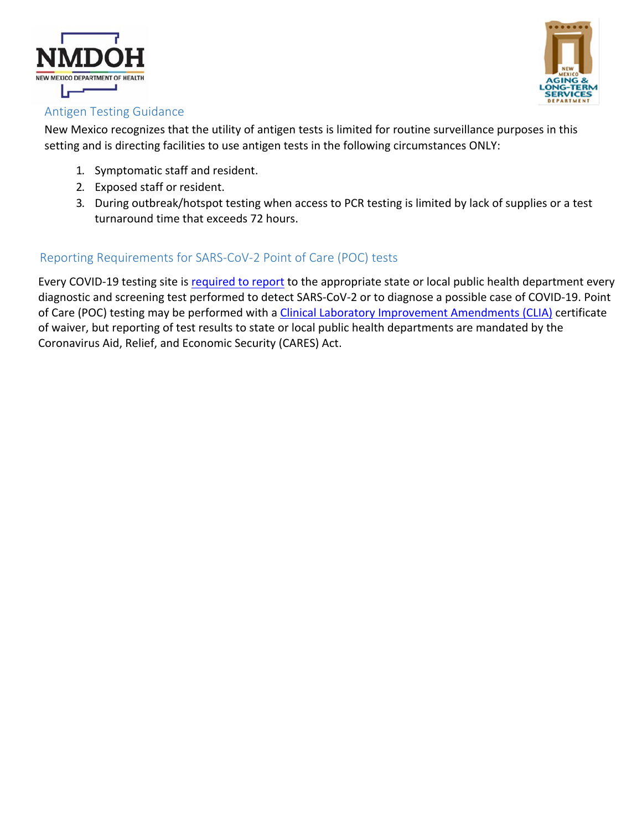



## Antigen Testing Guidance

New Mexico recognizes that the utility of antigen tests is limited for routine surveillance purposes in this setting and is directing facilities to use antigen tests in the following circumstances ONLY:

- 1. Symptomatic staff and resident.
- 2. Exposed staff or resident.
- 3. During outbreak/hotspot testing when access to PCR testing is limited by lack of supplies or a test turnaround time that exceeds 72 hours.

## Reporting Requirements for SARS-CoV-2 Point of Care (POC) tests

Every COVID-19 testing site is required to report to the appropriate state or local public health department every diagnostic and screening test performed to detect SARS-CoV-2 or to diagnose a possible case of COVID-19. Point of Care (POC) testing may be performed with a Clinical Laboratory Improvement Amendments (CLIA) certificate of waiver, but reporting of test results to state or local public health departments are mandated by the Coronavirus Aid, Relief, and Economic Security (CARES) Act.